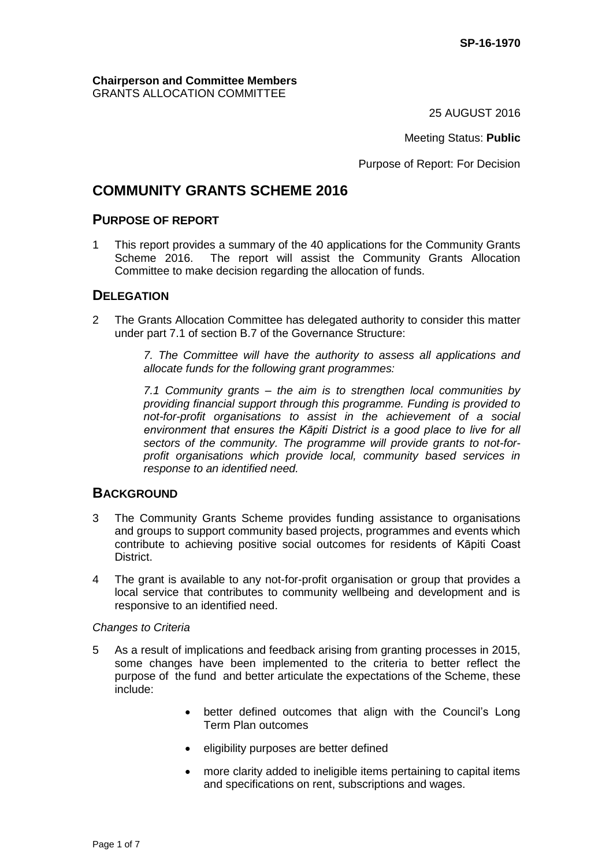#### **Chairperson and Committee Members** GRANTS ALLOCATION COMMITTEE

25 AUGUST 2016

Meeting Status: **Public**

Purpose of Report: For Decision

# **COMMUNITY GRANTS SCHEME 2016**

## **PURPOSE OF REPORT**

1 This report provides a summary of the 40 applications for the Community Grants<br>Scheme 2016. The report will assist the Community Grants Allocation The report will assist the Community Grants Allocation Committee to make decision regarding the allocation of funds.

## **DELEGATION**

2 The Grants Allocation Committee has delegated authority to consider this matter under part 7.1 of section B.7 of the Governance Structure:

> *7. The Committee will have the authority to assess all applications and allocate funds for the following grant programmes:*

> *7.1 Community grants – the aim is to strengthen local communities by providing financial support through this programme. Funding is provided to not-for-profit organisations to assist in the achievement of a social environment that ensures the Kāpiti District is a good place to live for all sectors of the community. The programme will provide grants to not-forprofit organisations which provide local, community based services in response to an identified need.*

## **BACKGROUND**

- 3 The Community Grants Scheme provides funding assistance to organisations and groups to support community based projects, programmes and events which contribute to achieving positive social outcomes for residents of Kāpiti Coast District.
- 4 The grant is available to any not-for-profit organisation or group that provides a local service that contributes to community wellbeing and development and is responsive to an identified need.

#### *Changes to Criteria*

- 5 As a result of implications and feedback arising from granting processes in 2015, some changes have been implemented to the criteria to better reflect the purpose of the fund and better articulate the expectations of the Scheme, these include:
	- better defined outcomes that align with the Council's Long Term Plan outcomes
	- eligibility purposes are better defined
	- more clarity added to ineligible items pertaining to capital items and specifications on rent, subscriptions and wages.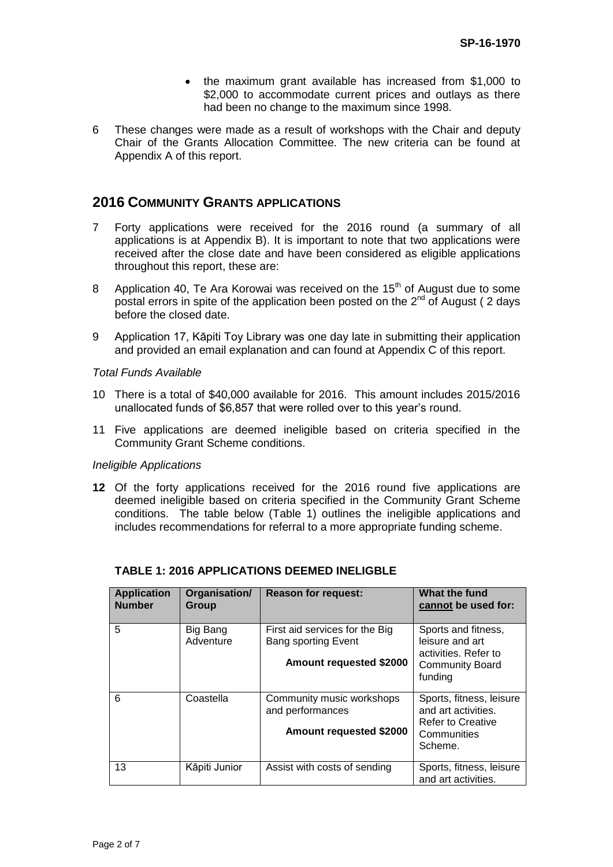- the maximum grant available has increased from \$1,000 to \$2,000 to accommodate current prices and outlays as there had been no change to the maximum since 1998.
- 6 These changes were made as a result of workshops with the Chair and deputy Chair of the Grants Allocation Committee. The new criteria can be found at Appendix A of this report.

## **2016 COMMUNITY GRANTS APPLICATIONS**

- 7 Forty applications were received for the 2016 round (a summary of all applications is at Appendix B). It is important to note that two applications were received after the close date and have been considered as eligible applications throughout this report, these are:
- 8 Application 40, Te Ara Korowai was received on the  $15<sup>th</sup>$  of August due to some postal errors in spite of the application been posted on the  $2<sup>nd</sup>$  of August (2 days before the closed date.
- 9 Application 17, Kāpiti Toy Library was one day late in submitting their application and provided an email explanation and can found at Appendix C of this report.

#### *Total Funds Available*

- 10 There is a total of \$40,000 available for 2016. This amount includes 2015/2016 unallocated funds of \$6,857 that were rolled over to this year's round.
- 11 Five applications are deemed ineligible based on criteria specified in the Community Grant Scheme conditions.

#### *Ineligible Applications*

**12** Of the forty applications received for the 2016 round five applications are deemed ineligible based on criteria specified in the Community Grant Scheme conditions. The table below (Table 1) outlines the ineligible applications and includes recommendations for referral to a more appropriate funding scheme.

| <b>Application</b><br><b>Number</b> | Organisation/<br>Group | <b>Reason for request:</b>                                                              | What the fund<br>cannot be used for:                                                                  |
|-------------------------------------|------------------------|-----------------------------------------------------------------------------------------|-------------------------------------------------------------------------------------------------------|
| 5                                   | Big Bang<br>Adventure  | First aid services for the Big<br><b>Bang sporting Event</b><br>Amount requested \$2000 | Sports and fitness,<br>leisure and art<br>activities. Refer to<br><b>Community Board</b><br>funding   |
| 6                                   | Coastella              | Community music workshops<br>and performances<br>Amount requested \$2000                | Sports, fitness, leisure<br>and art activities.<br><b>Refer to Creative</b><br>Communities<br>Scheme. |
| 13                                  | Kāpiti Junior          | Assist with costs of sending                                                            | Sports, fitness, leisure<br>and art activities.                                                       |

#### **TABLE 1: 2016 APPLICATIONS DEEMED INELIGBLE**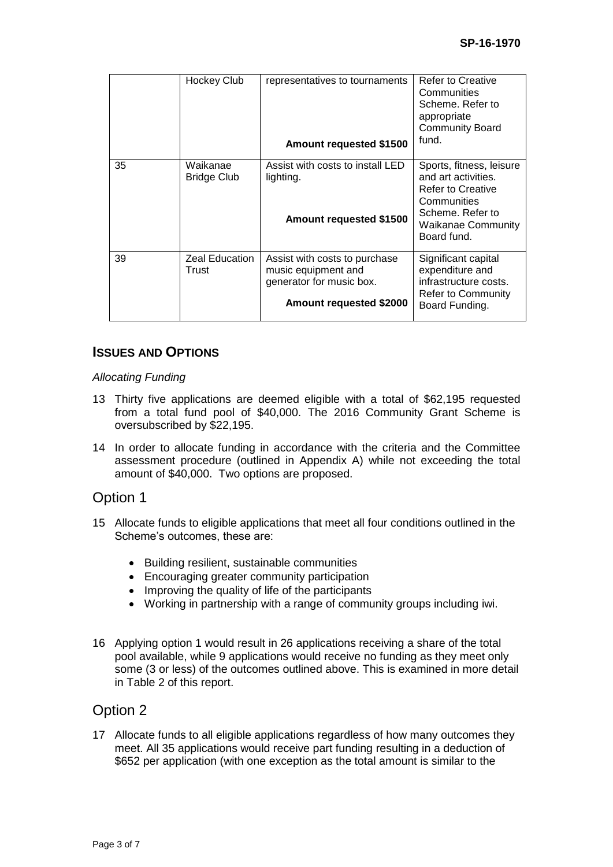|    | Hockey Club                    | representatives to tournaments<br>Amount requested \$1500                                                          | <b>Refer to Creative</b><br>Communities<br>Scheme. Refer to<br>appropriate<br><b>Community Board</b><br>fund.                                              |
|----|--------------------------------|--------------------------------------------------------------------------------------------------------------------|------------------------------------------------------------------------------------------------------------------------------------------------------------|
| 35 | Waikanae<br>Bridge Club        | Assist with costs to install LED<br>lighting.<br>Amount requested \$1500                                           | Sports, fitness, leisure<br>and art activities.<br><b>Refer to Creative</b><br>Communities<br>Scheme, Refer to<br><b>Waikanae Community</b><br>Board fund. |
| 39 | <b>Zeal Education</b><br>Trust | Assist with costs to purchase<br>music equipment and<br>generator for music box.<br><b>Amount requested \$2000</b> | Significant capital<br>expenditure and<br>infrastructure costs.<br><b>Refer to Community</b><br>Board Funding.                                             |

## **ISSUES AND OPTIONS**

#### *Allocating Funding*

- 13 Thirty five applications are deemed eligible with a total of \$62,195 requested from a total fund pool of \$40,000. The 2016 Community Grant Scheme is oversubscribed by \$22,195.
- 14 In order to allocate funding in accordance with the criteria and the Committee assessment procedure (outlined in Appendix A) while not exceeding the total amount of \$40,000. Two options are proposed.

## Option 1

- 15 Allocate funds to eligible applications that meet all four conditions outlined in the Scheme's outcomes, these are:
	- Building resilient, sustainable communities
	- Encouraging greater community participation
	- Improving the quality of life of the participants
	- Working in partnership with a range of community groups including iwi.
- 16 Applying option 1 would result in 26 applications receiving a share of the total pool available, while 9 applications would receive no funding as they meet only some (3 or less) of the outcomes outlined above. This is examined in more detail in Table 2 of this report.

## Option 2

17 Allocate funds to all eligible applications regardless of how many outcomes they meet. All 35 applications would receive part funding resulting in a deduction of \$652 per application (with one exception as the total amount is similar to the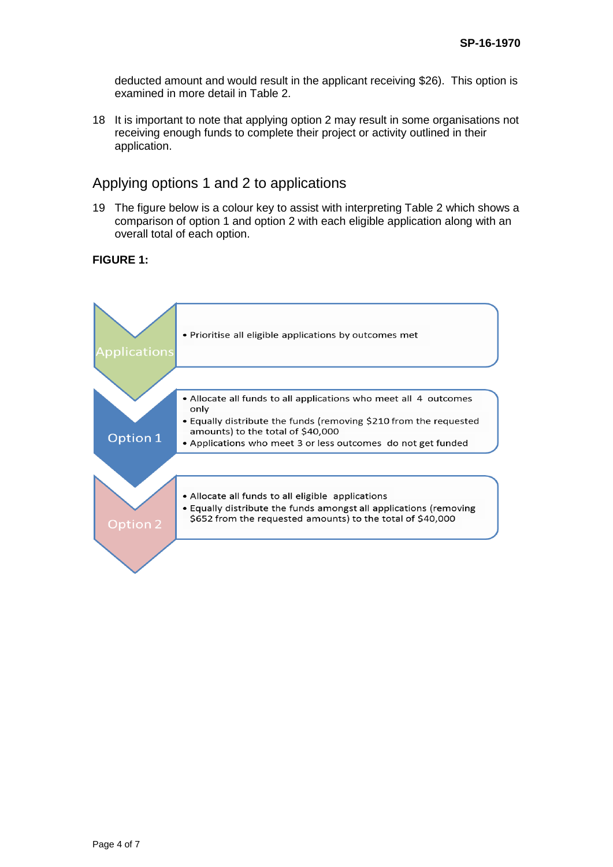deducted amount and would result in the applicant receiving \$26). This option is examined in more detail in Table 2.

18 It is important to note that applying option 2 may result in some organisations not receiving enough funds to complete their project or activity outlined in their application.

## Applying options 1 and 2 to applications

19 The figure below is a colour key to assist with interpreting Table 2 which shows a comparison of option 1 and option 2 with each eligible application along with an overall total of each option.

**FIGURE 1:** 

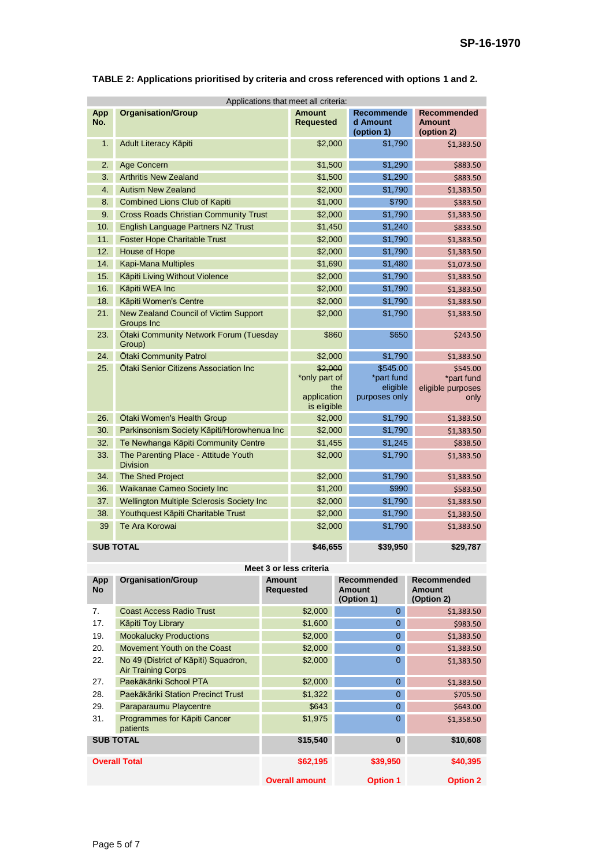| Applications that meet all criteria: |                                                         |                                                               |                                                     |                                                     |
|--------------------------------------|---------------------------------------------------------|---------------------------------------------------------------|-----------------------------------------------------|-----------------------------------------------------|
| App<br>No.                           | <b>Organisation/Group</b>                               | <b>Amount</b><br><b>Requested</b>                             | Recommende<br>d Amount<br>(option 1)                | <b>Recommended</b><br><b>Amount</b><br>(option 2)   |
| 1.                                   | Adult Literacy Kāpiti                                   | \$2,000                                                       | \$1,790                                             | \$1,383.50                                          |
| 2.                                   | Age Concern                                             | \$1,500                                                       | \$1,290                                             | \$883.50                                            |
| 3.                                   | <b>Arthritis New Zealand</b>                            | \$1,500                                                       | \$1,290                                             | \$883.50                                            |
| 4.                                   | <b>Autism New Zealand</b>                               | \$2,000                                                       | \$1,790                                             | \$1,383.50                                          |
| 8.                                   | <b>Combined Lions Club of Kapiti</b>                    | \$1,000                                                       | \$790                                               | \$383.50                                            |
| 9.                                   | <b>Cross Roads Christian Community Trust</b>            | \$2,000                                                       | \$1,790                                             | \$1,383.50                                          |
| 10.                                  | English Language Partners NZ Trust                      | \$1,450                                                       | \$1,240                                             | \$833.50                                            |
| 11.                                  | <b>Foster Hope Charitable Trust</b>                     | \$2,000                                                       | \$1,790                                             | \$1,383.50                                          |
| 12.                                  | House of Hope                                           | \$2,000                                                       | \$1,790                                             | \$1,383.50                                          |
| 14.                                  | Kapi-Mana Multiples                                     | \$1,690                                                       | \$1,480                                             | \$1,073.50                                          |
| 15.                                  | Kāpiti Living Without Violence                          | \$2,000                                                       | \$1,790                                             | \$1,383.50                                          |
| 16.                                  | Kāpiti WEA Inc                                          | \$2,000                                                       | \$1,790                                             | \$1,383.50                                          |
| 18.                                  | Kāpiti Women's Centre                                   | \$2,000                                                       | \$1,790                                             | \$1,383.50                                          |
| 21.                                  | New Zealand Council of Victim Support<br>Groups Inc     | \$2,000                                                       | \$1,790                                             | \$1,383.50                                          |
| 23.                                  | Otaki Community Network Forum (Tuesday<br>Group)        | \$860                                                         | \$650                                               | \$243.50                                            |
| 24.                                  | <b>Otaki Community Patrol</b>                           | \$2,000                                                       | \$1,790                                             | \$1,383.50                                          |
| 25.                                  | Otaki Senior Citizens Association Inc                   | \$2,000<br>*only part of<br>the<br>application<br>is eligible | \$545.00<br>*part fund<br>eligible<br>purposes only | \$545.00<br>*part fund<br>eligible purposes<br>only |
| 26.                                  | Otaki Women's Health Group                              | \$2,000                                                       | \$1,790                                             | \$1,383.50                                          |
| 30.                                  | Parkinsonism Society Kāpiti/Horowhenua Inc              | \$2,000                                                       | \$1,790                                             | \$1,383.50                                          |
| 32.                                  | Te Newhanga Kāpiti Community Centre                     | \$1,455                                                       | \$1,245                                             | \$838.50                                            |
| 33.                                  | The Parenting Place - Attitude Youth<br><b>Division</b> | \$2,000                                                       | \$1,790                                             | \$1,383.50                                          |
| 34.                                  | The Shed Project                                        | \$2,000                                                       | \$1,790                                             | \$1,383.50                                          |
| 36.                                  | Waikanae Cameo Society Inc                              | \$1,200                                                       | \$990                                               | \$583.50                                            |
| 37.                                  | Wellington Multiple Sclerosis Society Inc               | \$2,000                                                       | \$1,790                                             | \$1,383.50                                          |
| 38.                                  | Youthquest Kāpiti Charitable Trust                      | \$2,000                                                       | \$1,790                                             | \$1,383.50                                          |
| 39                                   | Te Ara Korowai                                          | \$2,000                                                       | \$1,790                                             | \$1,383.50                                          |
|                                      | <b>SUB TOTAL</b>                                        | \$46,655                                                      | \$39,950                                            | \$29,787                                            |

#### **TABLE 2: Applications prioritised by criteria and cross referenced with options 1 and 2.**

**Meet 3 or less criteria** 

| App<br><b>No</b>     | <b>Organisation/Group</b>                                         | <b>Amount</b><br><b>Requested</b> | <b>Recommended</b><br>Amount<br>(Option 1) | <b>Recommended</b><br>Amount<br>(Option 2) |
|----------------------|-------------------------------------------------------------------|-----------------------------------|--------------------------------------------|--------------------------------------------|
| 7.                   | <b>Coast Access Radio Trust</b>                                   | \$2,000                           | $\Omega$                                   | \$1,383.50                                 |
| 17.                  | Kāpiti Toy Library                                                | \$1,600                           | 0                                          | \$983.50                                   |
| 19.                  | <b>Mookalucky Productions</b>                                     | \$2,000                           | 0                                          | \$1,383.50                                 |
| 20.                  | Movement Youth on the Coast                                       | \$2,000                           | $\Omega$                                   | \$1,383.50                                 |
| 22.                  | No 49 (District of Kāpiti) Squadron,<br><b>Air Training Corps</b> | \$2,000                           | 0                                          | \$1,383.50                                 |
| 27.                  | Paekākāriki School PTA                                            | \$2,000                           | $\overline{0}$                             | \$1,383.50                                 |
| 28.                  | Paekākāriki Station Precinct Trust                                | \$1,322                           | $\overline{0}$                             | \$705.50                                   |
| 29.                  | Paraparaumu Playcentre                                            | \$643                             | 0                                          | \$643.00                                   |
| 31.                  | Programmes for Kāpiti Cancer<br>patients                          | \$1,975                           | $\overline{0}$                             | \$1,358.50                                 |
| <b>SUB TOTAL</b>     |                                                                   | \$15,540                          | $\bf{0}$                                   | \$10,608                                   |
| <b>Overall Total</b> |                                                                   | \$62,195                          | \$39,950                                   | \$40,395                                   |
|                      |                                                                   | <b>Overall amount</b>             | <b>Option 1</b>                            | <b>Option 2</b>                            |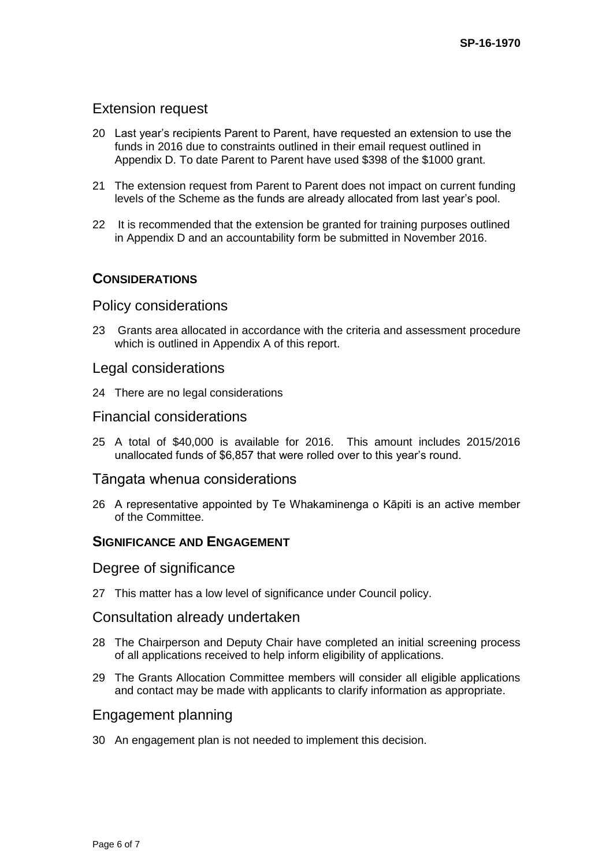## Extension request

- 20 Last year's recipients Parent to Parent, have requested an extension to use the funds in 2016 due to constraints outlined in their email request outlined in Appendix D. To date Parent to Parent have used \$398 of the \$1000 grant.
- 21 The extension request from Parent to Parent does not impact on current funding levels of the Scheme as the funds are already allocated from last year's pool.
- 22 It is recommended that the extension be granted for training purposes outlined in Appendix D and an accountability form be submitted in November 2016.

## **CONSIDERATIONS**

## Policy considerations

23 Grants area allocated in accordance with the criteria and assessment procedure which is outlined in Appendix A of this report.

#### Legal considerations

24 There are no legal considerations

## Financial considerations

25 A total of \$40,000 is available for 2016. This amount includes 2015/2016 unallocated funds of \$6,857 that were rolled over to this year's round.

#### Tāngata whenua considerations

26 A representative appointed by Te Whakaminenga o Kāpiti is an active member of the Committee.

## **SIGNIFICANCE AND ENGAGEMENT**

#### Degree of significance

27 This matter has a low level of significance under Council policy.

#### Consultation already undertaken

- 28 The Chairperson and Deputy Chair have completed an initial screening process of all applications received to help inform eligibility of applications.
- 29 The Grants Allocation Committee members will consider all eligible applications and contact may be made with applicants to clarify information as appropriate.

#### Engagement planning

30 An engagement plan is not needed to implement this decision.